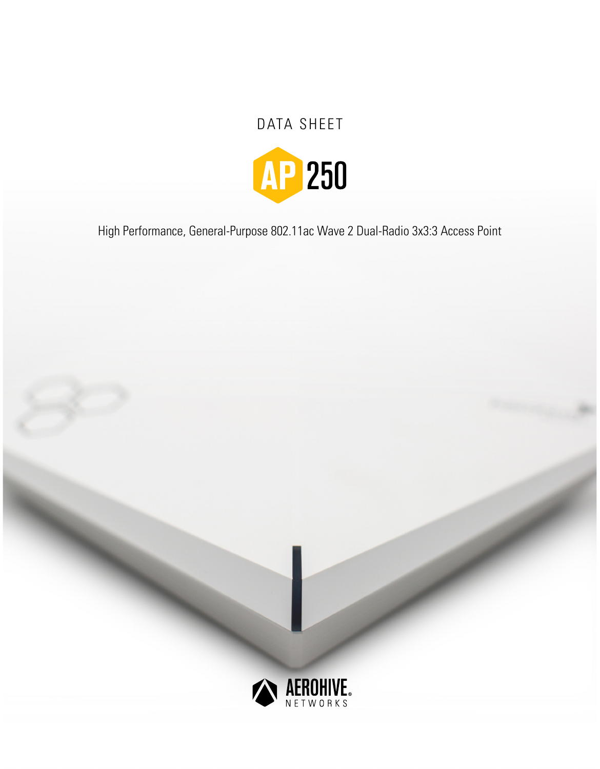# DATA SHEET



High Performance, General-Purpose 802.11ac Wave 2 Dual-Radio 3x3:3 Access Point

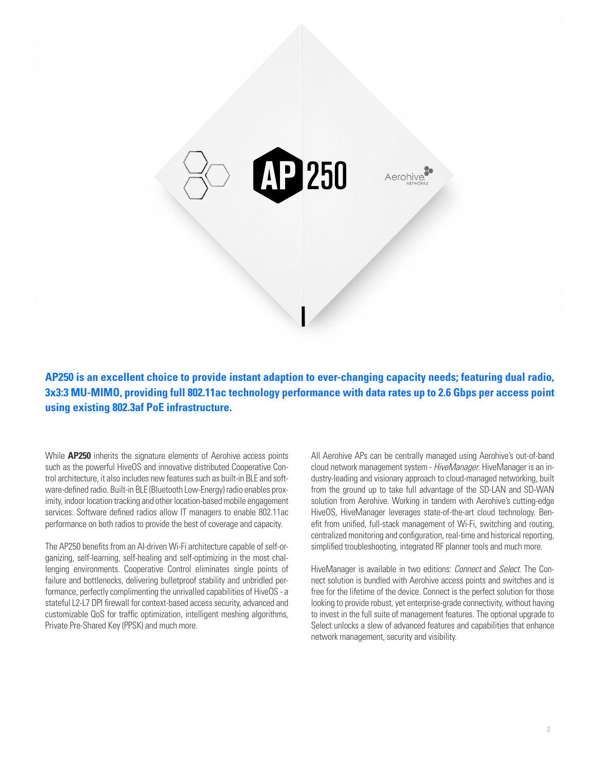

**AP250 is an excellent choice to provide instant adaption to ever-changing capacity needs; featuring dual radio, 3x3:3 MU-MIMO, providing full 802.11ac technology performance with data rates up to 2.6 Gbps per access point using existing 802.3af PoE infrastructure.**

While **AP250** inherits the signature elements of Aerohive access points such as the powerful HiveOS and innovative distributed Cooperative Control architecture, it also includes new features such as built-in BLE and software-defined radio. Built-in BLE (Bluetooth Low-Energy) radio enables proximity, indoor location tracking and other location-based mobile engagement services. Software defined radios allow IT managers to enable 802.11ac performance on both radios to provide the best of coverage and capacity.

The AP250 benefits from an AI-driven Wi-Fi architecture capable of self-organizing, self-learning, self-healing and self-optimizing in the most challenging environments. Cooperative Control eliminates single points of failure and bottlenecks, delivering bulletproof stability and unbridled performance, perfectly complimenting the unrivalled capabilities of HiveOS - a stateful L2-L7 DPI firewall for context-based access security, advanced and customizable QoS for traffic optimization, intelligent meshing algorithms, Private Pre-Shared Key (PPSK) and much more.

All Aerohive APs can be centrally managed using Aerohive's out-of-band cloud network management system - *HiveManager*. HiveManager is an industry-leading and visionary approach to cloud-managed networking, built from the ground up to take full advantage of the SD-LAN and SD-WAN solution from Aerohive. Working in tandem with Aerohive's cutting-edge HiveOS, HiveManager leverages state-of-the-art cloud technology. Benefit from unified, full-stack management of Wi-Fi, switching and routing, centralized monitoring and configuration, real-time and historical reporting, simplified troubleshooting, integrated RF planner tools and much more.

HiveManager is available in two editions: *Connect* and *Select*. The Connect solution is bundled with Aerohive access points and switches and is free for the lifetime of the device. Connect is the perfect solution for those looking to provide robust, yet enterprise-grade connectivity, without having to invest in the full suite of management features. The optional upgrade to Select unlocks a slew of advanced features and capabilities that enhance network management, security and visibility.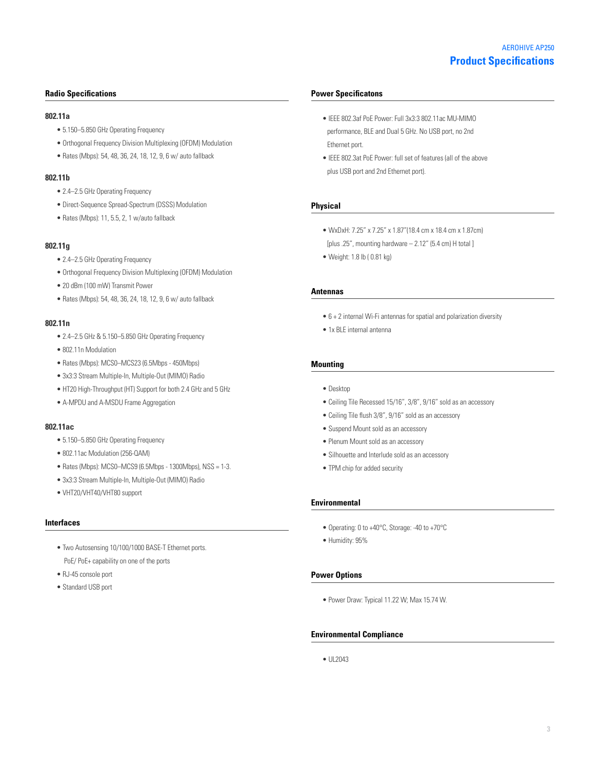# **Radio Specifications**

#### **802.11a**

- 5.150–5.850 GHz Operating Frequency
- Orthogonal Frequency Division Multiplexing (OFDM) Modulation
- Rates (Mbps): 54, 48, 36, 24, 18, 12, 9, 6 w/ auto fallback

#### **802.11b**

- 2.4–2.5 GHz Operating Frequency
- Direct-Sequence Spread-Spectrum (DSSS) Modulation
- Rates (Mbps): 11, 5.5, 2, 1 w/auto fallback

#### **802.11g**

- 2.4–2.5 GHz Operating Frequency
- Orthogonal Frequency Division Multiplexing (OFDM) Modulation
- 20 dBm (100 mW) Transmit Power
- Rates (Mbps): 54, 48, 36, 24, 18, 12, 9, 6 w/ auto fallback

#### **802.11n**

- 2.4–2.5 GHz & 5.150–5.850 GHz Operating Frequency
- 802.11n Modulation
- Rates (Mbps): MCS0–MCS23 (6.5Mbps 450Mbps)
- 3x3:3 Stream Multiple-In, Multiple-Out (MIMO) Radio
- HT20 High-Throughput (HT) Support for both 2.4 GHz and 5 GHz
- A-MPDU and A-MSDU Frame Aggregation

#### **802.11ac**

- 5.150–5.850 GHz Operating Frequency
- 802.11ac Modulation (256-QAM)
- $\bullet$  Rates (Mbps): MCS0-MCS9 (6.5Mbps 1300Mbps), NSS = 1-3.
- 3x3:3 Stream Multiple-In, Multiple-Out (MIMO) Radio
- VHT20/VHT40/VHT80 support

#### **Interfaces**

- Two Autosensing 10/100/1000 BASE-T Ethernet ports. PoE/ PoE+ capability on one of the ports
- RJ-45 console port
- Standard USB port

#### **Power Specificatons**

- IEEE 802.3af PoE Power: Full 3x3:3 802.11ac MU-MIMO performance, BLE and Dual 5 GHz. No USB port, no 2nd Ethernet port.
- IEEE 802.3at PoE Power: full set of features (all of the above plus USB port and 2nd Ethernet port).

## **Physical**

- WxDxH: 7.25" x 7.25" x 1.87"(18.4 cm x 18.4 cm x 1.87cm) [plus .25", mounting hardware  $- 2.12$ " (5.4 cm) H total ]
- Weight: 1.8 lb ( 0.81 kg)

## **Antennas**

- 6 + 2 internal Wi-Fi antennas for spatial and polarization diversity
- 1x BLE internal antenna

#### **Mounting**

- Desktop
- Ceiling Tile Recessed 15/16", 3/8", 9/16" sold as an accessory
- Ceiling Tile flush 3/8", 9/16" sold as an accessory
- Suspend Mount sold as an accessory
- Plenum Mount sold as an accessory
- Silhouette and Interlude sold as an accessory
- TPM chip for added security

#### **Environmental**

- Operating: 0 to +40°C, Storage: -40 to +70°C
- Humidity: 95%

#### **Power Options**

• Power Draw: Typical 11.22 W; Max 15.74 W.

#### **Environmental Compliance**

• UL2043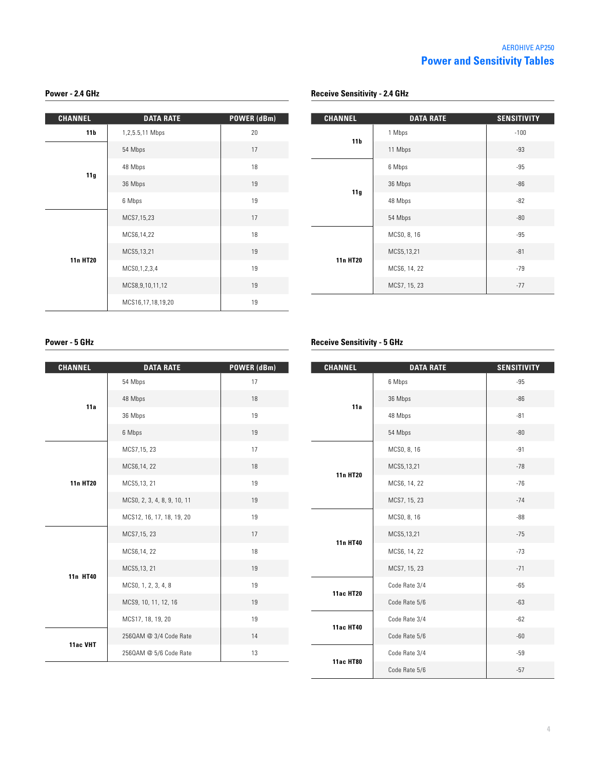# **Power - 2.4 GHz**

| <b>CHANNEL</b>  | <b>DATA RATE</b>    | POWER (dBm) |
|-----------------|---------------------|-------------|
| 11 <sub>b</sub> | 1,2,5.5,11 Mbps     | 20          |
| 11g             | 54 Mbps             | 17          |
|                 | 48 Mbps             | 18          |
|                 | 36 Mbps             | 19          |
|                 | 6 Mbps              | 19          |
| <b>11n HT20</b> | MCS7,15,23          | 17          |
|                 | MCS6,14,22          | 18          |
|                 | MCS5,13,21          | 19          |
|                 | MCS0, 1, 2, 3, 4    | 19          |
|                 | MCS8, 9, 10, 11, 12 | 19          |
|                 | MCS16,17,18,19,20   | 19          |

| <b>CHANNEL</b>  | <b>DATA RATE</b> | <b>SENSITIVITY</b> |
|-----------------|------------------|--------------------|
| 11 <sub>b</sub> | 1 Mbps           | $-100$             |
|                 | 11 Mbps          | $-93$              |
| 11g             | 6 Mbps           | $-95$              |
|                 | 36 Mbps          | $-86$              |
|                 | 48 Mbps          | $-82$              |
|                 | 54 Mbps          | $-80$              |
| <b>11n HT20</b> | MCS0, 8, 16      | $-95$              |
|                 | MCS5,13,21       | $-81$              |
|                 | MCS6, 14, 22     | $-79$              |
|                 | MCS7, 15, 23     | $-77$              |

# **Power - 5 GHz**

| <b>CHANNEL</b>  | <b>DATA RATE</b>            | POWER (dBm) |
|-----------------|-----------------------------|-------------|
| 11a             | 54 Mbps                     | 17          |
|                 | 48 Mbps                     | 18          |
|                 | 36 Mbps                     | 19          |
|                 | 6 Mbps                      | 19          |
| <b>11n HT20</b> | MCS7,15, 23                 | 17          |
|                 | MCS6,14,22                  | 18          |
|                 | MCS5,13, 21                 | 19          |
|                 | MCS0, 2, 3, 4, 8, 9, 10, 11 | 19          |
|                 | MCS12, 16, 17, 18, 19, 20   | 19          |
|                 | MCS7,15, 23                 | 17          |
|                 | MCS6,14,22                  | 18          |
|                 | MCS5,13, 21                 | 19          |
| 11n HT40        | MCS0, 1, 2, 3, 4, 8         | 19          |
|                 | MCS9, 10, 11, 12, 16        | 19          |
|                 | MCS17, 18, 19, 20           | 19          |
| 11ac VHT        | 2560AM @ 3/4 Code Rate      | 14          |
|                 | 2560AM @ 5/6 Code Rate      | 13          |

# **Receive Sensitivity - 5 GHz**

**Receive Sensitivity - 2.4 GHz**

| <b>CHANNEL</b>   | <b>DATA RATE</b> | <b>SENSITIVITY</b> |
|------------------|------------------|--------------------|
| 11a              | 6 Mbps           | $-95$              |
|                  | 36 Mbps          | $-86$              |
|                  | 48 Mbps          | $-81$              |
|                  | 54 Mbps          | $-80$              |
| <b>11n HT20</b>  | MCS0, 8, 16      | $-91$              |
|                  | MCS5,13,21       | $-78$              |
|                  | MCS6, 14, 22     | $-76$              |
|                  | MCS7, 15, 23     | $-74$              |
|                  | MCS0, 8, 16      | $-88$              |
|                  | MCS5,13,21       | $-75$              |
| 11n HT40         | MCS6, 14, 22     | $-73$              |
|                  | MCS7, 15, 23     | $-71$              |
|                  | Code Rate 3/4    | $-65$              |
| <b>11ac HT20</b> | Code Rate 5/6    | $-63$              |
| <b>11ac HT40</b> | Code Rate 3/4    | $-62$              |
|                  | Code Rate 5/6    | $-60$              |
| <b>11ac HT80</b> | Code Rate 3/4    | $-59$              |
|                  | Code Rate 5/6    | $-57$              |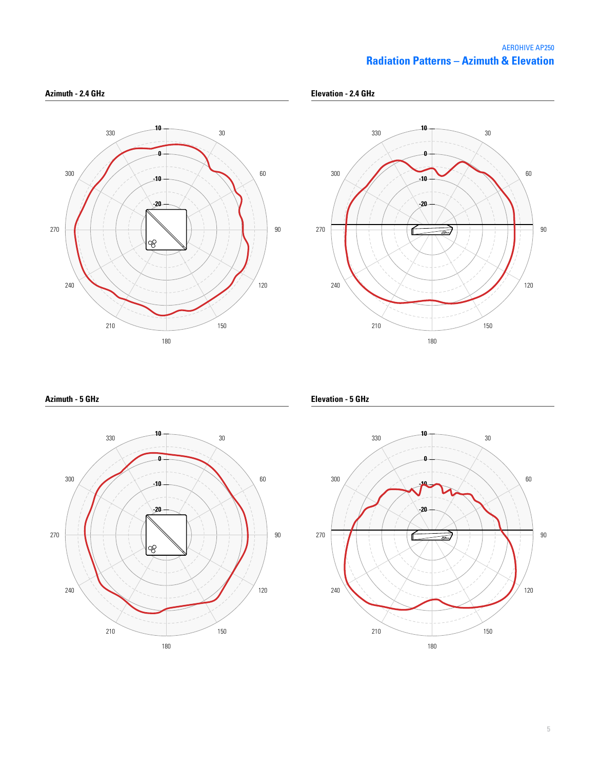# **Radiation Patterns – Azimuth & Elevation** AEROHIVE AP250





**Azimuth - 5 GHz**



**Elevation - 5 GHz**

**Elevation - 2.4 GHz**